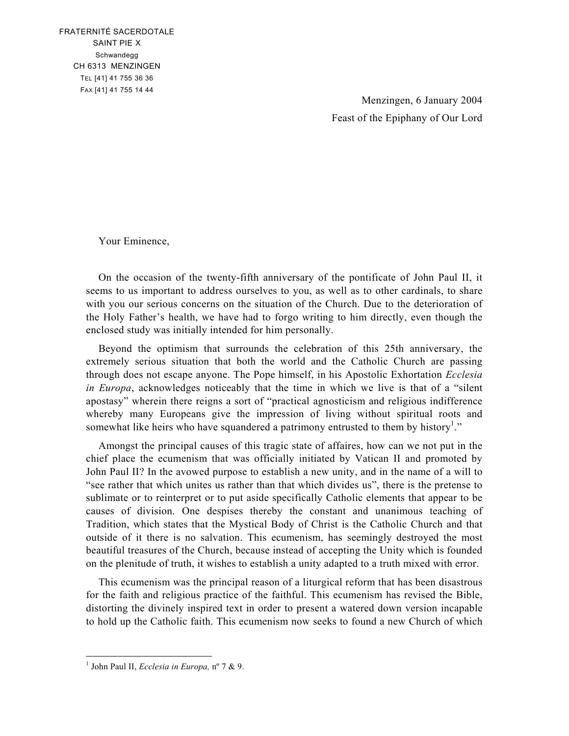FRATERNITÉ SACERDOTALE SAINT PIE X Schwandegg CH 6313 MENZINGEN TEL [41] 41 755 36 36 FAX [41] 41 755 14 44

> Menzingen, 6 January 2004 Feast of the Epiphany of Our Lord

Your Eminence,

On the occasion of the twenty-fifth anniversary of the pontificate of John Paul II, it seems to us important to address ourselves to you, as well as to other cardinals, to share with you our serious concerns on the situation of the Church. Due to the deterioration of the Holy Father's health, we have had to forgo writing to him directly, even though the enclosed study was initially intended for him personally.

Beyond the optimism that surrounds the celebration of this 25th anniversary, the extremely serious situation that both the world and the Catholic Church are passing through does not escape anyone. The Pope himself, in his Apostolic Exhortation *Ecclesia in Europa*, acknowledges noticeably that the time in which we live is that of a "silent apostasy" wherein there reigns a sort of "practical agnosticism and religious indifference whereby many Europeans give the impression of living without spiritual roots and somewhat like heirs who have squandered a patrimony entrusted to them by history<sup>1</sup>."

Amongst the principal causes of this tragic state of affaires, how can we not put in the chief place the ecumenism that was officially initiated by Vatican II and promoted by John Paul II? In the avowed purpose to establish a new unity, and in the name of a will to "see rather that which unites us rather than that which divides us", there is the pretense to sublimate or to reinterpret or to put aside specifically Catholic elements that appear to be causes of division. One despises thereby the constant and unanimous teaching of Tradition, which states that the Mystical Body of Christ is the Catholic Church and that outside of it there is no salvation. This ecumenism, has seemingly destroyed the most beautiful treasures of the Church, because instead of accepting the Unity which is founded on the plenitude of truth, it wishes to establish a unity adapted to a truth mixed with error.

This ecumenism was the principal reason of a liturgical reform that has been disastrous for the faith and religious practice of the faithful. This ecumenism has revised the Bible, distorting the divinely inspired text in order to present a watered down version incapable to hold up the Catholic faith. This ecumenism now seeks to found a new Church of which

 $\overline{a}$ 

<sup>1</sup> John Paul II, *Ecclesia in Europa,* nº 7 & 9.